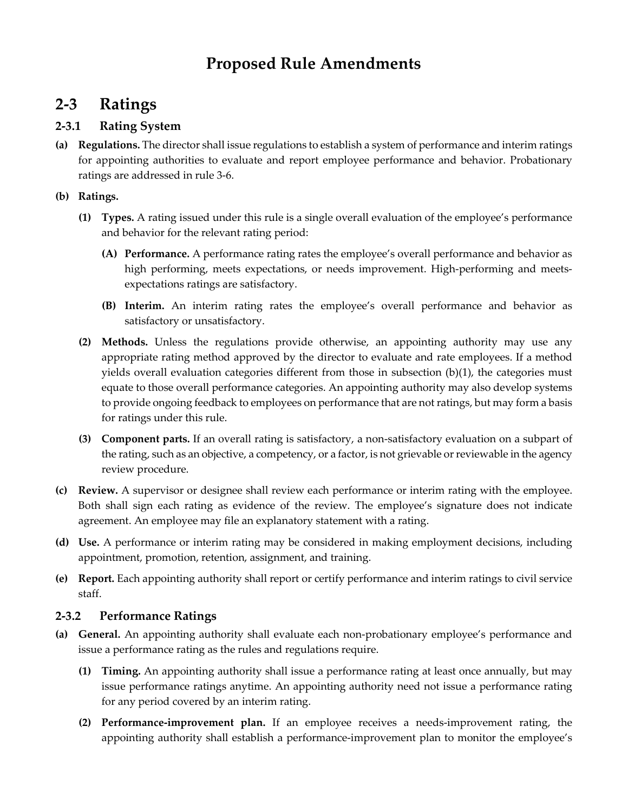# **Proposed Rule Amendments**

## **2-3 Ratings**

## **2-3.1 Rating System**

**(a) Regulations.** The director shall issue regulations to establish a system of performance and interim ratings for appointing authorities to evaluate and report employee performance and behavior. Probationary ratings are addressed in rule 3-6.

### **(b) Ratings.**

- **(1) Types.** A rating issued under this rule is a single overall evaluation of the employee's performance and behavior for the relevant rating period:
	- **(A) Performance.** A performance rating rates the employee's overall performance and behavior as high performing, meets expectations, or needs improvement. High-performing and meetsexpectations ratings are satisfactory.
	- **(B) Interim.** An interim rating rates the employee's overall performance and behavior as satisfactory or unsatisfactory.
- **(2) Methods.** Unless the regulations provide otherwise, an appointing authority may use any appropriate rating method approved by the director to evaluate and rate employees. If a method yields overall evaluation categories different from those in subsection (b)(1), the categories must equate to those overall performance categories. An appointing authority may also develop systems to provide ongoing feedback to employees on performance that are not ratings, but may form a basis for ratings under this rule.
- **(3) Component parts.** If an overall rating is satisfactory, a non-satisfactory evaluation on a subpart of the rating, such as an objective, a competency, or a factor, is not grievable or reviewable in the agency review procedure.
- **(c) Review.** A supervisor or designee shall review each performance or interim rating with the employee. Both shall sign each rating as evidence of the review. The employee's signature does not indicate agreement. An employee may file an explanatory statement with a rating.
- **(d) Use.** A performance or interim rating may be considered in making employment decisions, including appointment, promotion, retention, assignment, and training.
- **(e) Report.** Each appointing authority shall report or certify performance and interim ratings to civil service staff.

### **2-3.2 Performance Ratings**

- **(a) General.** An appointing authority shall evaluate each non-probationary employee's performance and issue a performance rating as the rules and regulations require.
	- **(1) Timing.** An appointing authority shall issue a performance rating at least once annually, but may issue performance ratings anytime. An appointing authority need not issue a performance rating for any period covered by an interim rating.
	- **(2) Performance-improvement plan.** If an employee receives a needs-improvement rating, the appointing authority shall establish a performance-improvement plan to monitor the employee's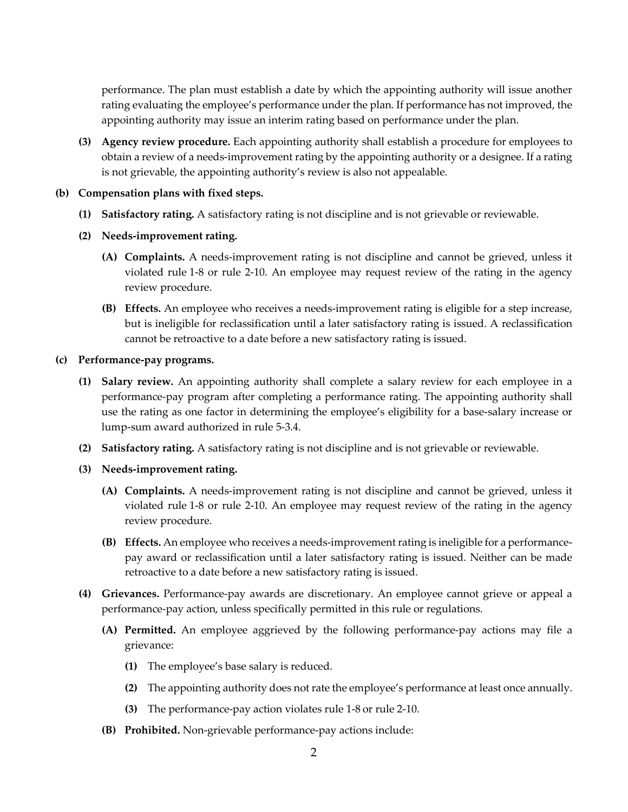performance. The plan must establish a date by which the appointing authority will issue another rating evaluating the employee's performance under the plan. If performance has not improved, the appointing authority may issue an interim rating based on performance under the plan.

**(3) Agency review procedure.** Each appointing authority shall establish a procedure for employees to obtain a review of a needs-improvement rating by the appointing authority or a designee. If a rating is not grievable, the appointing authority's review is also not appealable.

#### **(b) Compensation plans with fixed steps.**

- **(1) Satisfactory rating.** A satisfactory rating is not discipline and is not grievable or reviewable.
- **(2) Needs-improvement rating.**
	- **(A) Complaints.** A needs-improvement rating is not discipline and cannot be grieved, unless it violated rule 1-8 or rule 2-10. An employee may request review of the rating in the agency review procedure.
	- **(B) Effects.** An employee who receives a needs-improvement rating is eligible for a step increase, but is ineligible for reclassification until a later satisfactory rating is issued. A reclassification cannot be retroactive to a date before a new satisfactory rating is issued.

#### **(c) Performance-pay programs.**

- **(1) Salary review.** An appointing authority shall complete a salary review for each employee in a performance-pay program after completing a performance rating. The appointing authority shall use the rating as one factor in determining the employee's eligibility for a base-salary increase or lump-sum award authorized in rule 5-3.4.
- **(2) Satisfactory rating.** A satisfactory rating is not discipline and is not grievable or reviewable.
- **(3) Needs-improvement rating.**
	- **(A) Complaints.** A needs-improvement rating is not discipline and cannot be grieved, unless it violated rule 1-8 or rule 2-10. An employee may request review of the rating in the agency review procedure.
	- **(B) Effects.** An employee who receives a needs-improvementrating is ineligible for a performancepay award or reclassification until a later satisfactory rating is issued. Neither can be made retroactive to a date before a new satisfactory rating is issued.
- **(4) Grievances.** Performance-pay awards are discretionary. An employee cannot grieve or appeal a performance-pay action, unless specifically permitted in this rule or regulations.
	- **(A) Permitted.** An employee aggrieved by the following performance-pay actions may file a grievance:
		- **(1)** The employee's base salary is reduced.
		- **(2)** The appointing authority does not rate the employee's performance at least once annually.
		- **(3)** The performance-pay action violates rule 1-8 or rule 2-10.
	- **(B) Prohibited.** Non-grievable performance-pay actions include: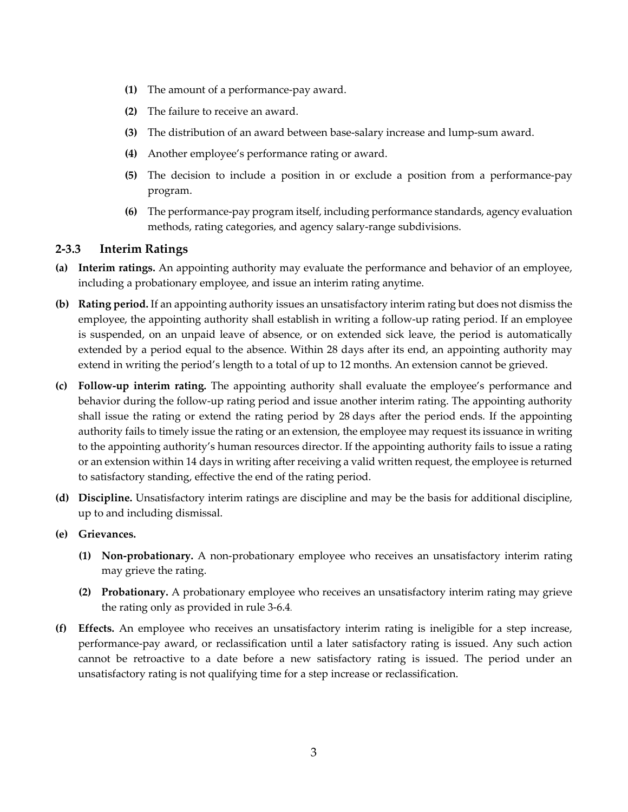- **(1)** The amount of a performance-pay award.
- **(2)** The failure to receive an award.
- **(3)** The distribution of an award between base-salary increase and lump-sum award.
- **(4)** Another employee's performance rating or award.
- **(5)** The decision to include a position in or exclude a position from a performance-pay program.
- **(6)** The performance-pay program itself, including performance standards, agency evaluation methods, rating categories, and agency salary-range subdivisions.

#### **2-3.3 Interim Ratings**

- **(a) Interim ratings.** An appointing authority may evaluate the performance and behavior of an employee, including a probationary employee, and issue an interim rating anytime.
- **(b) Rating period.** If an appointing authority issues an unsatisfactory interim rating but does not dismiss the employee, the appointing authority shall establish in writing a follow-up rating period. If an employee is suspended, on an unpaid leave of absence, or on extended sick leave, the period is automatically extended by a period equal to the absence. Within 28 days after its end, an appointing authority may extend in writing the period's length to a total of up to 12 months. An extension cannot be grieved.
- **(c) Follow-up interim rating.** The appointing authority shall evaluate the employee's performance and behavior during the follow-up rating period and issue another interim rating. The appointing authority shall issue the rating or extend the rating period by 28 days after the period ends. If the appointing authority fails to timely issue the rating or an extension, the employee may request its issuance in writing to the appointing authority's human resources director. If the appointing authority fails to issue a rating or an extension within 14 days in writing after receiving a valid written request, the employee is returned to satisfactory standing, effective the end of the rating period.
- **(d) Discipline.** Unsatisfactory interim ratings are discipline and may be the basis for additional discipline, up to and including dismissal.
- **(e) Grievances.** 
	- **(1) Non-probationary.** A non-probationary employee who receives an unsatisfactory interim rating may grieve the rating.
	- **(2) Probationary.** A probationary employee who receives an unsatisfactory interim rating may grieve the rating only as provided in rule 3-6.4.
- **(f) Effects.** An employee who receives an unsatisfactory interim rating is ineligible for a step increase, performance-pay award, or reclassification until a later satisfactory rating is issued. Any such action cannot be retroactive to a date before a new satisfactory rating is issued. The period under an unsatisfactory rating is not qualifying time for a step increase or reclassification.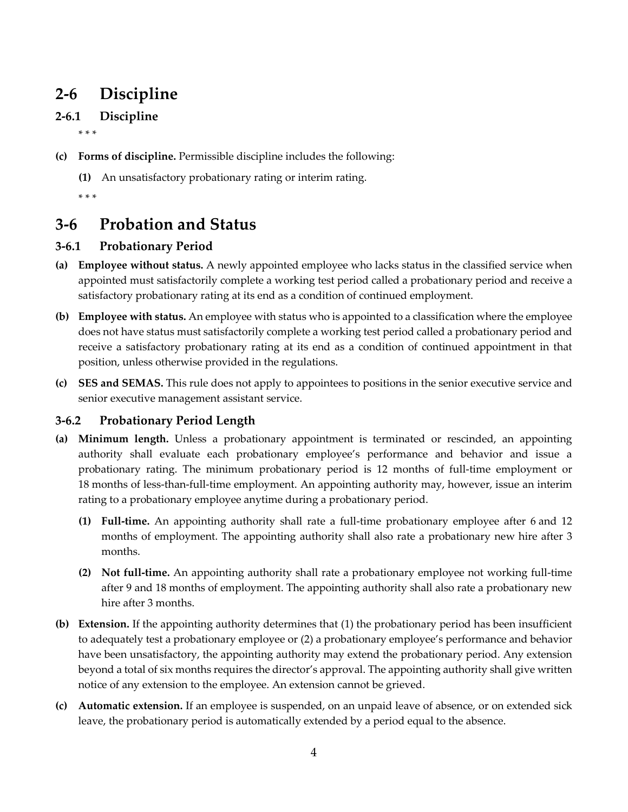# **2-6 Discipline**

## **2-6.1 Discipline**

\* \* \*

- **(c) Forms of discipline.** Permissible discipline includes the following:
	- **(1)** An unsatisfactory probationary rating or interim rating.
	- \* \* \*

## **3-6 Probation and Status**

### **3-6.1 Probationary Period**

- **(a) Employee without status.** A newly appointed employee who lacks status in the classified service when appointed must satisfactorily complete a working test period called a probationary period and receive a satisfactory probationary rating at its end as a condition of continued employment.
- **(b) Employee with status.** An employee with status who is appointed to a classification where the employee does not have status must satisfactorily complete a working test period called a probationary period and receive a satisfactory probationary rating at its end as a condition of continued appointment in that position, unless otherwise provided in the regulations.
- **(c) SES and SEMAS.** This rule does not apply to appointees to positions in the senior executive service and senior executive management assistant service.

### **3-6.2 Probationary Period Length**

- **(a) Minimum length.** Unless a probationary appointment is terminated or rescinded, an appointing authority shall evaluate each probationary employee's performance and behavior and issue a probationary rating. The minimum probationary period is 12 months of full-time employment or 18 months of less-than-full-time employment. An appointing authority may, however, issue an interim rating to a probationary employee anytime during a probationary period.
	- **(1) Full-time.** An appointing authority shall rate a full-time probationary employee after 6 and 12 months of employment. The appointing authority shall also rate a probationary new hire after 3 months.
	- **(2) Not full-time.** An appointing authority shall rate a probationary employee not working full-time after 9 and 18 months of employment. The appointing authority shall also rate a probationary new hire after 3 months.
- **(b) Extension.** If the appointing authority determines that (1) the probationary period has been insufficient to adequately test a probationary employee or (2) a probationary employee's performance and behavior have been unsatisfactory, the appointing authority may extend the probationary period. Any extension beyond a total of six months requires the director's approval. The appointing authority shall give written notice of any extension to the employee. An extension cannot be grieved.
- **(c) Automatic extension.** If an employee is suspended, on an unpaid leave of absence, or on extended sick leave, the probationary period is automatically extended by a period equal to the absence.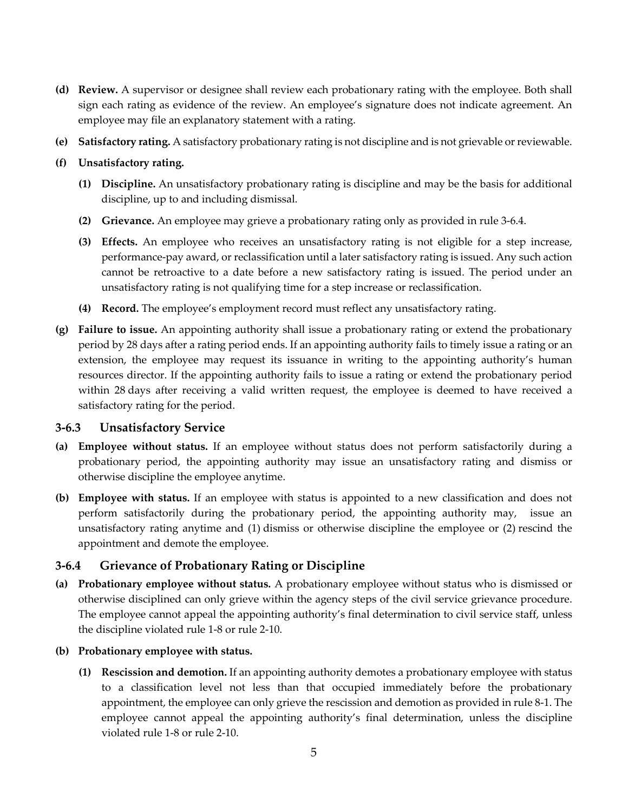- **(d) Review.** A supervisor or designee shall review each probationary rating with the employee. Both shall sign each rating as evidence of the review. An employee's signature does not indicate agreement. An employee may file an explanatory statement with a rating.
- **(e) Satisfactory rating.** A satisfactory probationary rating is not discipline and is not grievable or reviewable.
- **(f) Unsatisfactory rating.**
	- **(1) Discipline.** An unsatisfactory probationary rating is discipline and may be the basis for additional discipline, up to and including dismissal.
	- **(2) Grievance.** An employee may grieve a probationary rating only as provided in rule 3-6.4.
	- **(3) Effects.** An employee who receives an unsatisfactory rating is not eligible for a step increase, performance-pay award, or reclassification until a later satisfactory rating is issued. Any such action cannot be retroactive to a date before a new satisfactory rating is issued. The period under an unsatisfactory rating is not qualifying time for a step increase or reclassification.
	- **(4) Record.** The employee's employment record must reflect any unsatisfactory rating.
- **(g) Failure to issue.** An appointing authority shall issue a probationary rating or extend the probationary period by 28 days after a rating period ends. If an appointing authority fails to timely issue a rating or an extension, the employee may request its issuance in writing to the appointing authority's human resources director. If the appointing authority fails to issue a rating or extend the probationary period within 28 days after receiving a valid written request, the employee is deemed to have received a satisfactory rating for the period.

#### **3-6.3 Unsatisfactory Service**

- **(a) Employee without status.** If an employee without status does not perform satisfactorily during a probationary period, the appointing authority may issue an unsatisfactory rating and dismiss or otherwise discipline the employee anytime.
- **(b) Employee with status.** If an employee with status is appointed to a new classification and does not perform satisfactorily during the probationary period, the appointing authority may, issue an unsatisfactory rating anytime and (1) dismiss or otherwise discipline the employee or (2) rescind the appointment and demote the employee.

### **3-6.4 Grievance of Probationary Rating or Discipline**

- **(a) Probationary employee without status.** A probationary employee without status who is dismissed or otherwise disciplined can only grieve within the agency steps of the civil service grievance procedure. The employee cannot appeal the appointing authority's final determination to civil service staff, unless the discipline violated rule 1-8 or rule 2-10.
- **(b) Probationary employee with status.**
	- **(1) Rescission and demotion.** If an appointing authority demotes a probationary employee with status to a classification level not less than that occupied immediately before the probationary appointment, the employee can only grieve the rescission and demotion as provided in rule 8-1. The employee cannot appeal the appointing authority's final determination, unless the discipline violated rule 1-8 or rule 2-10.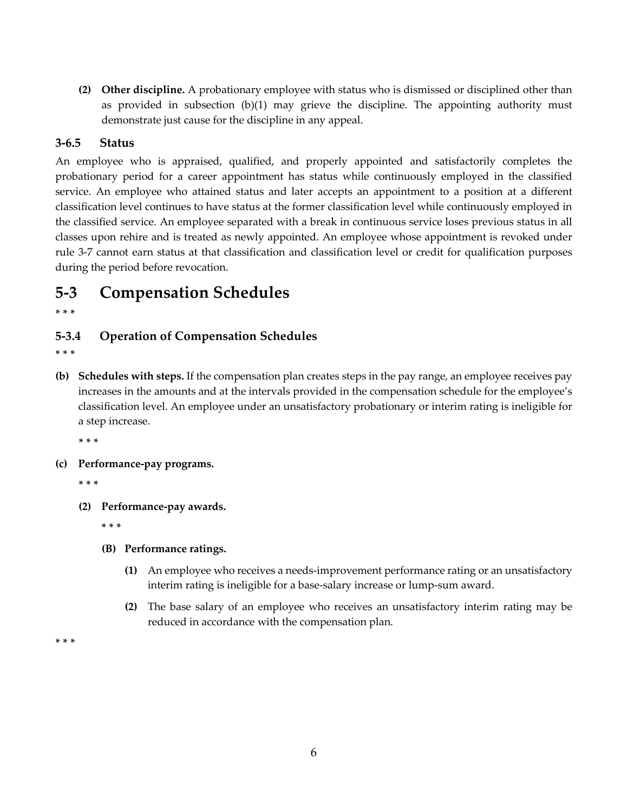**(2) Other discipline.** A probationary employee with status who is dismissed or disciplined other than as provided in subsection (b)(1) may grieve the discipline. The appointing authority must demonstrate just cause for the discipline in any appeal.

### **3-6.5 Status**

An employee who is appraised, qualified, and properly appointed and satisfactorily completes the probationary period for a career appointment has status while continuously employed in the classified service. An employee who attained status and later accepts an appointment to a position at a different classification level continues to have status at the former classification level while continuously employed in the classified service. An employee separated with a break in continuous service loses previous status in all classes upon rehire and is treated as newly appointed. An employee whose appointment is revoked under rule 3-7 cannot earn status at that classification and classification level or credit for qualification purposes during the period before revocation.

## **5-3 Compensation Schedules**

**\* \* \***

### **5-3.4 Operation of Compensation Schedules**

- **\* \* \***
- **(b) Schedules with steps.** If the compensation plan creates steps in the pay range, an employee receives pay increases in the amounts and at the intervals provided in the compensation schedule for the employee's classification level. An employee under an unsatisfactory probationary or interim rating is ineligible for a step increase.

**\* \* \***

**(c) Performance-pay programs.**

**\* \* \***

**(2) Performance-pay awards.**

**\* \* \***

- **(B) Performance ratings.**
	- **(1)** An employee who receives a needs-improvement performance rating or an unsatisfactory interim rating is ineligible for a base-salary increase or lump-sum award.
	- **(2)** The base salary of an employee who receives an unsatisfactory interim rating may be reduced in accordance with the compensation plan.

**\* \* \***